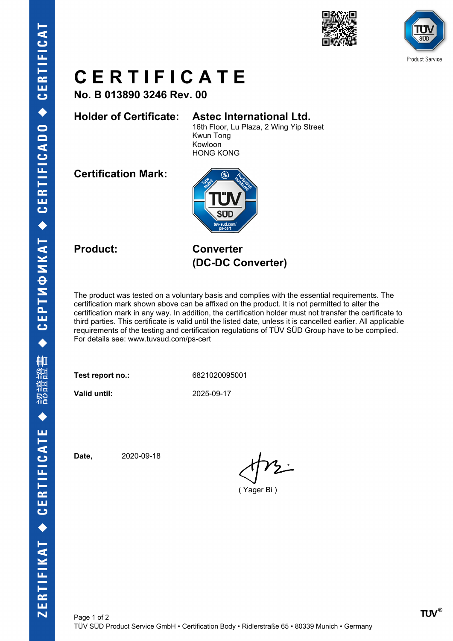



# **C E R T I F I C A T E**

**No. B 013890 3246 Rev. 00**

### **Holder of Certificate: Astec International Ltd.**

16th Floor, Lu Plaza, 2 Wing Yip Street Kwun Tong Kowloon HONG KONG

**Certification Mark:**



**Product: Converter (DC-DC Converter)**

The product was tested on a voluntary basis and complies with the essential requirements. The certification mark shown above can be affixed on the product. It is not permitted to alter the certification mark in any way. In addition, the certification holder must not transfer the certificate to third parties. This certificate is valid until the listed date, unless it is cancelled earlier. All applicable requirements of the testing and certification regulations of TÜV SÜD Group have to be complied. For details see: www.tuvsud.com/ps-cert

**Test report no.:** 6821020095001

**Valid until:** 2025-09-17

**Date,** 2020-09-18

( Yager Bi )